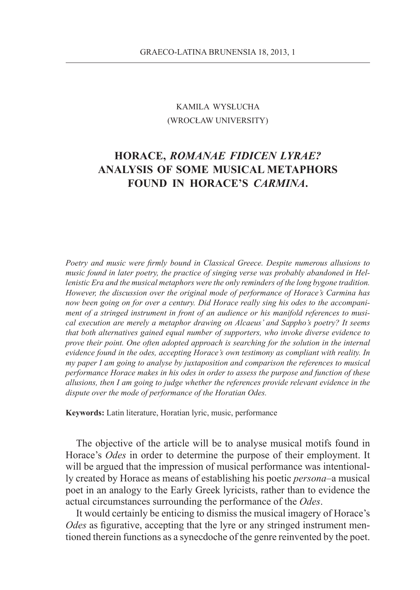## KAMILA WYSŁUCHA (WROCŁAW UNIVERSITY)

## **HORACE,** *ROMANAE FIDICEN LYRAE?*  **ANALYSIS OF SOME MUSICAL METAPHORS FOUND IN HORACE'S** *CARMINA***.**

*Poetry and music were firmly bound in Classical Greece. Despite numerous allusions to music found in later poetry, the practice of singing verse was probably abandoned in Hellenistic Era and the musical metaphors were the only reminders of the long bygone tradition. However, the discussion over the original mode of performance of Horace's Carmina has now been going on for over a century. Did Horace really sing his odes to the accompaniment of a stringed instrument in front of an audience or his manifold references to musical execution are merely a metaphor drawing on Alcaeus' and Sappho's poetry? It seems that both alternatives gained equal number of supporters, who invoke diverse evidence to prove their point. One often adopted approach is searching for the solution in the internal evidence found in the odes, accepting Horace's own testimony as compliant with reality. In my paper I am going to analyse by juxtaposition and comparison the references to musical performance Horace makes in his odes in order to assess the purpose and function of these allusions, then I am going to judge whether the references provide relevant evidence in the dispute over the mode of performance of the Horatian Odes.*

**Keywords:** Latin literature, Horatian lyric, music, performance

The objective of the article will be to analyse musical motifs found in Horace's *Odes* in order to determine the purpose of their employment. It will be argued that the impression of musical performance was intentionally created by Horace as means of establishing his poetic *persona*–a musical poet in an analogy to the Early Greek lyricists, rather than to evidence the actual circumstances surrounding the performance of the *Odes*.

It would certainly be enticing to dismiss the musical imagery of Horace's *Odes* as figurative, accepting that the lyre or any stringed instrument mentioned therein functions as a synecdoche of the genre reinvented by the poet.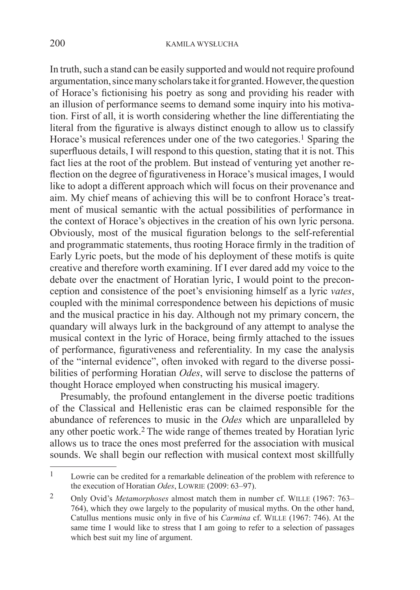In truth, such a stand can be easily supported and would not require profound argumentation, since many scholars take it for granted. However, the question of Horace's fictionising his poetry as song and providing his reader with an illusion of performance seems to demand some inquiry into his motivation. First of all, it is worth considering whether the line differentiating the literal from the figurative is always distinct enough to allow us to classify Horace's musical references under one of the two categories.<sup>1</sup> Sparing the superfluous details, I will respond to this question, stating that it is not. This fact lies at the root of the problem. But instead of venturing yet another reflection on the degree of figurativeness in Horace's musical images, I would like to adopt a different approach which will focus on their provenance and aim. My chief means of achieving this will be to confront Horace's treatment of musical semantic with the actual possibilities of performance in the context of Horace's objectives in the creation of his own lyric persona. Obviously, most of the musical figuration belongs to the self-referential and programmatic statements, thus rooting Horace firmly in the tradition of Early Lyric poets, but the mode of his deployment of these motifs is quite creative and therefore worth examining. If I ever dared add my voice to the debate over the enactment of Horatian lyric, I would point to the preconception and consistence of the poet's envisioning himself as a lyric *vates*, coupled with the minimal correspondence between his depictions of music and the musical practice in his day. Although not my primary concern, the quandary will always lurk in the background of any attempt to analyse the musical context in the lyric of Horace, being firmly attached to the issues of performance, figurativeness and referentiality. In my case the analysis of the "internal evidence", often invoked with regard to the diverse possibilities of performing Horatian *Odes*, will serve to disclose the patterns of thought Horace employed when constructing his musical imagery.

Presumably, the profound entanglement in the diverse poetic traditions of the Classical and Hellenistic eras can be claimed responsible for the abundance of references to music in the *Odes* which are unparalleled by any other poetic work.<sup>2</sup> The wide range of themes treated by Horatian lyric allows us to trace the ones most preferred for the association with musical sounds. We shall begin our reflection with musical context most skillfully

<sup>1</sup> Lowrie can be credited for a remarkable delineation of the problem with reference to the execution of Horatian *Odes*, Lowrie (2009: 63–97).

<sup>2</sup> Only Ovid's *Metamorphoses* almost match them in number cf. Wille (1967: 763– 764), which they owe largely to the popularity of musical myths. On the other hand, Catullus mentions music only in five of his *Carmina* cf. Wille (1967: 746). At the same time I would like to stress that I am going to refer to a selection of passages which best suit my line of argument.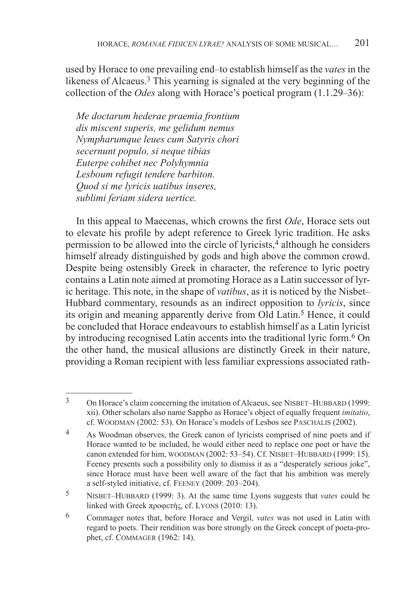used by Horace to one prevailing end–to establish himself as the *vates* in the likeness of Alcaeus.<sup>3</sup> This yearning is signaled at the very beginning of the collection of the *Odes* along with Horace's poetical program (1.1.29–36):

*Me doctarum hederae praemia frontium dis miscent superis, me gelidum nemus Nympharumque leues cum Satyris chori secernunt populo, si neque tibias Euterpe cohibet nec Polyhymnia Lesboum refugit tendere barbiton. Quod si me lyricis uatibus inseres, sublimi feriam sidera uertice.*

In this appeal to Maecenas, which crowns the first *Ode*, Horace sets out to elevate his profile by adept reference to Greek lyric tradition. He asks permission to be allowed into the circle of lyricists, $\frac{4}{3}$  although he considers himself already distinguished by gods and high above the common crowd. Despite being ostensibly Greek in character, the reference to lyric poetry contains a Latin note aimed at promoting Horace as a Latin successor of lyric heritage. This note, in the shape of *vatibus*, as it is noticed by the Nisbet– Hubbard commentary, resounds as an indirect opposition to *lyricis*, since its origin and meaning apparently derive from Old Latin.<sup>5</sup> Hence, it could be concluded that Horace endeavours to establish himself as a Latin lyricist by introducing recognised Latin accents into the traditional lyric form.6 On the other hand, the musical allusions are distinctly Greek in their nature, providing a Roman recipient with less familiar expressions associated rath-

<sup>&</sup>lt;sup>3</sup> On Horace's claim concerning the imitation of Alcaeus, see NISBET–HUBBARD (1999: xii). Other scholars also name Sappho as Horace's object of equally frequent *imitatio*, cf. Woodman (2002: 53). On Horace's models of Lesbos see Paschalis (2002).

<sup>4</sup> As Woodman observes, the Greek canon of lyricists comprised of nine poets and if Horace wanted to be included, he would either need to replace one poet or have the canon extended for him, WOODMAN (2002: 53–54). Cf. NISBET–HUBBARD (1999: 15). Feeney presents such a possibility only to dismiss it as a "desperately serious joke", since Horace must have been well aware of the fact that his ambition was merely a self-styled initiative, cf. Feeney (2009: 203–204).

<sup>5</sup> Nisbet–Hubbard (1999: 3). At the same time Lyons suggests that *vates* could be linked with Greek προφετής, cf. Lyons (2010: 13).

<sup>6</sup> Commager notes that, before Horace and Vergil, *vates* was not used in Latin with regard to poets. Their rendition was bore strongly on the Greek concept of poeta-prophet, cf. Commager (1962: 14).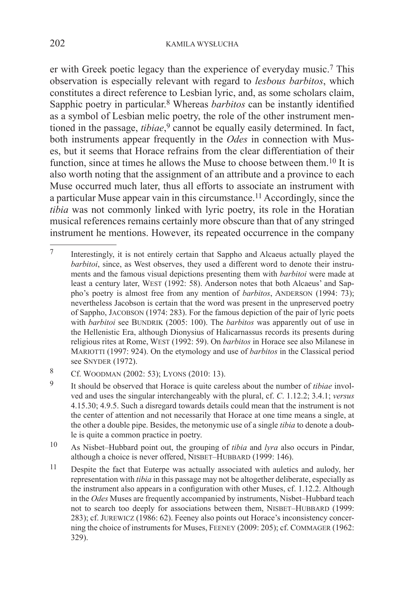er with Greek poetic legacy than the experience of everyday music.7 This observation is especially relevant with regard to *lesbous barbitos*, which constitutes a direct reference to Lesbian lyric, and, as some scholars claim, Sapphic poetry in particular.8 Whereas *barbitos* can be instantly identified as a symbol of Lesbian melic poetry, the role of the other instrument mentioned in the passage, *tibiae*, <sup>9</sup> cannot be equally easily determined. In fact, both instruments appear frequently in the *Odes* in connection with Muses, but it seems that Horace refrains from the clear differentiation of their function, since at times he allows the Muse to choose between them.10 It is also worth noting that the assignment of an attribute and a province to each Muse occurred much later, thus all efforts to associate an instrument with a particular Muse appear vain in this circumstance.11 Accordingly, since the *tibia* was not commonly linked with lyric poetry, its role in the Horatian musical references remains certainly more obscure than that of any stringed instrument he mentions. However, its repeated occurrence in the company

- 10 As Nisbet–Hubbard point out, the grouping of *tibia* and *lyra* also occurs in Pindar, although a choice is never offered, NISBET-HUBBARD (1999: 146).
- 11 Despite the fact that Euterpe was actually associated with auletics and aulody, her representation with *tibia* in this passage may not be altogether deliberate, especially as the instrument also appears in a configuration with other Muses, cf. 1.12.2. Although in the *Odes* Muses are frequently accompanied by instruments, Nisbet–Hubbard teach not to search too deeply for associations between them, NISBET-HUBBARD (1999: 283); cf. Jurewicz (1986: 62). Feeney also points out Horace's inconsistency concerning the choice of instruments for Muses, Feeney (2009: 205); cf. Commager (1962: 329).

<sup>7</sup> Interestingly, it is not entirely certain that Sappho and Alcaeus actually played the *barbitoi*, since, as West observes, they used a different word to denote their instruments and the famous visual depictions presenting them with *barbitoi* were made at least a century later, WEST (1992: 58). Anderson notes that both Alcaeus' and Sappho's poetry is almost free from any mention of *barbitos*, ANDERSON (1994: 73); nevertheless Jacobson is certain that the word was present in the unpreserved poetry of Sappho, Jacobson (1974: 283). For the famous depiction of the pair of lyric poets with *barbitoi* see BUNDRIK (2005: 100). The *barbitos* was apparently out of use in the Hellenistic Era, although Dionysius of Halicarnassus records its presents during religious rites at Rome, West (1992: 59). On *barbitos* in Horace see also Milanese in Mariotti (1997: 924). On the etymology and use of *barbitos* in the Classical period see SNYDER (1972).

<sup>8</sup> Cf. Woodman (2002: 53); Lyons (2010: 13).

<sup>9</sup> It should be observed that Horace is quite careless about the number of *tibiae* involved and uses the singular interchangeably with the plural, cf. *C*. 1.12.2; 3.4.1; *versus*  4.15.30; 4.9.5. Such a disregard towards details could mean that the instrument is not the center of attention and not necessarily that Horace at one time means a single, at the other a double pipe. Besides, the metonymic use of a single *tibia* to denote a double is quite a common practice in poetry.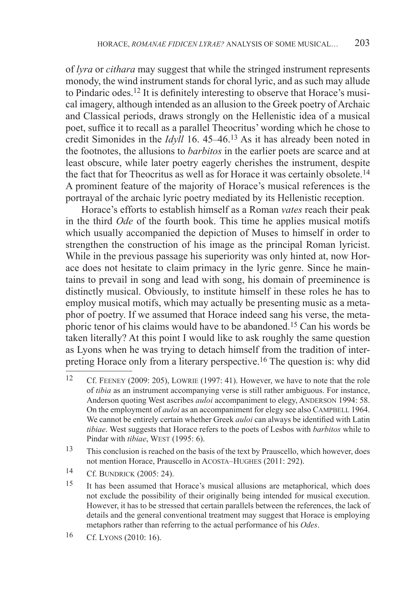of *lyra* or *cithara* may suggest that while the stringed instrument represents monody, the wind instrument stands for choral lyric, and as such may allude to Pindaric odes.12 It is definitely interesting to observe that Horace's musical imagery, although intended as an allusion to the Greek poetry of Archaic and Classical periods, draws strongly on the Hellenistic idea of a musical poet, suffice it to recall as a parallel Theocritus' wording which he chose to credit Simonides in the *Idyll* 16. 45–46.13 As it has already been noted in the footnotes, the allusions to *barbitos* in the earlier poets are scarce and at least obscure, while later poetry eagerly cherishes the instrument, despite the fact that for Theocritus as well as for Horace it was certainly obsolete.<sup>14</sup> A prominent feature of the majority of Horace's musical references is the portrayal of the archaic lyric poetry mediated by its Hellenistic reception.

Horace's efforts to establish himself as a Roman *vates* reach their peak in the third *Ode* of the fourth book. This time he applies musical motifs which usually accompanied the depiction of Muses to himself in order to strengthen the construction of his image as the principal Roman lyricist. While in the previous passage his superiority was only hinted at, now Horace does not hesitate to claim primacy in the lyric genre. Since he maintains to prevail in song and lead with song, his domain of preeminence is distinctly musical. Obviously, to institute himself in these roles he has to employ musical motifs, which may actually be presenting music as a metaphor of poetry. If we assumed that Horace indeed sang his verse, the metaphoric tenor of his claims would have to be abandoned.15 Can his words be taken literally? At this point I would like to ask roughly the same question as Lyons when he was trying to detach himself from the tradition of interpreting Horace only from a literary perspective.16 The question is: why did

- 13 This conclusion is reached on the basis of the text by Prauscello, which however, does not mention Horace, Prauscello in Acosta–Hughes (2011: 292).
- 14 Cf. Bundrick (2005: 24).

<sup>12</sup> Cf. Feeney (2009: 205), Lowrie (1997: 41). However, we have to note that the role of *tibia* as an instrument accompanying verse is still rather ambiguous. For instance, Anderson quoting West ascribes *auloi* accompaniment to elegy, ANDERSON 1994: 58. On the employment of *auloi* as an accompaniment for elegy see also CAMPBELL 1964. We cannot be entirely certain whether Greek *auloi* can always be identified with Latin *tibiae*. West suggests that Horace refers to the poets of Lesbos with *barbitos* while to Pindar with *tibiae*, WEST (1995: 6).

<sup>15</sup> It has been assumed that Horace's musical allusions are metaphorical, which does not exclude the possibility of their originally being intended for musical execution. However, it has to be stressed that certain parallels between the references, the lack of details and the general conventional treatment may suggest that Horace is employing metaphors rather than referring to the actual performance of his *Odes*.

<sup>16</sup> Cf. Lyons (2010: 16).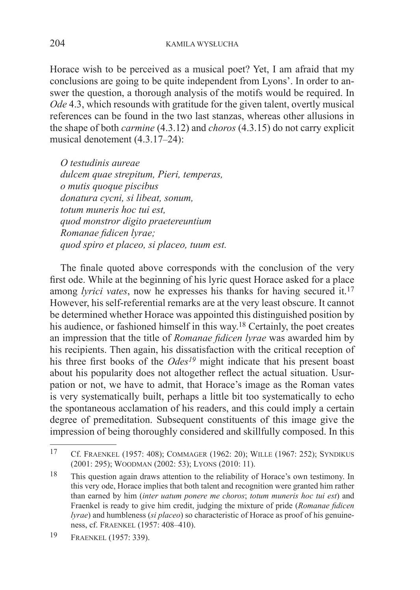Horace wish to be perceived as a musical poet? Yet, I am afraid that my conclusions are going to be quite independent from Lyons'. In order to answer the question, a thorough analysis of the motifs would be required. In *Ode* 4.3, which resounds with gratitude for the given talent, overtly musical references can be found in the two last stanzas, whereas other allusions in the shape of both *carmine* (4.3.12) and *choros* (4.3.15) do not carry explicit musical denotement (4.3.17–24):

*O testudinis aureae dulcem quae strepitum, Pieri, temperas, o mutis quoque piscibus donatura cycni, si libeat, sonum, totum muneris hoc tui est, quod monstror digito praetereuntium Romanae fidicen lyrae; quod spiro et placeo, si placeo, tuum est.*

The finale quoted above corresponds with the conclusion of the very first ode. While at the beginning of his lyric quest Horace asked for a place among *lyrici vates*, now he expresses his thanks for having secured it.<sup>17</sup> However, his self-referential remarks are at the very least obscure. It cannot be determined whether Horace was appointed this distinguished position by his audience, or fashioned himself in this way.<sup>18</sup> Certainly, the poet creates an impression that the title of *Romanae fidicen lyrae* was awarded him by his recipients. Then again, his dissatisfaction with the critical reception of his three first books of the *Odes<sup>19</sup>* might indicate that his present boast about his popularity does not altogether reflect the actual situation. Usurpation or not, we have to admit, that Horace's image as the Roman vates is very systematically built, perhaps a little bit too systematically to echo the spontaneous acclamation of his readers, and this could imply a certain degree of premeditation. Subsequent constituents of this image give the impression of being thoroughly considered and skillfully composed. In this

<sup>17</sup> Cf. Fraenkel (1957: 408); Commager (1962: 20); Wille (1967: 252); Syndikus (2001: 295); Woodman (2002: 53); Lyons (2010: 11).

<sup>18</sup> This question again draws attention to the reliability of Horace's own testimony. In this very ode, Horace implies that both talent and recognition were granted him rather than earned by him (*inter uatum ponere me choros*; *totum muneris hoc tui est*) and Fraenkel is ready to give him credit, judging the mixture of pride (*Romanae fidicen lyrae*) and humbleness (*si placeo*) so characteristic of Horace as proof of his genuineness, cf. Fraenkel (1957: 408–410).

<sup>19</sup> Fraenkel (1957: 339).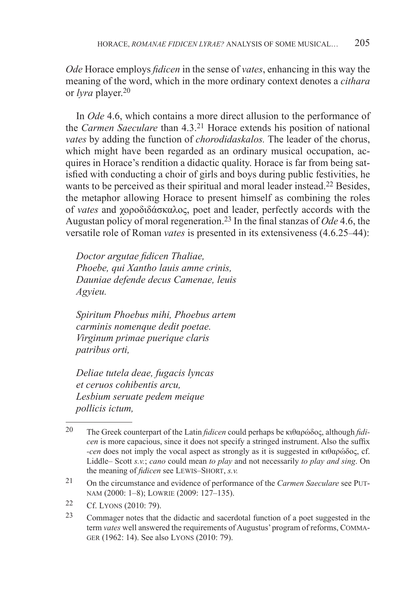*Ode* Horace employs *fidicen* in the sense of *vates*, enhancing in this way the meaning of the word, which in the more ordinary context denotes a *cithara*  or *lyra* player.<sup>20</sup>

In *Ode* 4.6, which contains a more direct allusion to the performance of the *Carmen Saeculare* than 4.3.21 Horace extends his position of national *vates* by adding the function of *chorodidaskalos.* The leader of the chorus, which might have been regarded as an ordinary musical occupation, acquires in Horace's rendition a didactic quality. Horace is far from being satisfied with conducting a choir of girls and boys during public festivities, he wants to be perceived as their spiritual and moral leader instead.<sup>22</sup> Besides, the metaphor allowing Horace to present himself as combining the roles of *vates* and χοροδιδάσκαλος, poet and leader, perfectly accords with the Augustan policy of moral regeneration.23 In the final stanzas of *Ode* 4.6, the versatile role of Roman *vates* is presented in its extensiveness (4.6.25–44):

*Doctor argutae fidicen Thaliae, Phoebe, qui Xantho lauis amne crinis, Dauniae defende decus Camenae, leuis Agyieu.*

*Spiritum Phoebus mihi, Phoebus artem carminis nomenque dedit poetae. Virginum primae puerique claris patribus orti,*

*Deliae tutela deae, fugacis lyncas et ceruos cohibentis arcu, Lesbium seruate pedem meique pollicis ictum,*

<sup>20</sup> The Greek counterpart of the Latin *fidicen* could perhaps be κιθαρώδoς, although *fidicen* is more capacious, since it does not specify a stringed instrument. Also the suffix *-cen* does not imply the vocal aspect as strongly as it is suggested in κιθαρώδος, cf. Liddle– Scott *s.v.*; *cano* could mean *to play* and not necessarily *to play and sing*. On the meaning of *fidicen* see Lewis–Short, *s.v.*

<sup>21</sup> On the circumstance and evidence of performance of the *Carmen Saeculare* see Putnam (2000: 1–8); Lowrie (2009: 127–135).

<sup>22</sup> Cf. Lyons (2010: 79).

<sup>23</sup> Commager notes that the didactic and sacerdotal function of a poet suggested in the term *vates* well answered the requirements of Augustus' program of reforms, Commager (1962: 14). See also Lyons (2010: 79).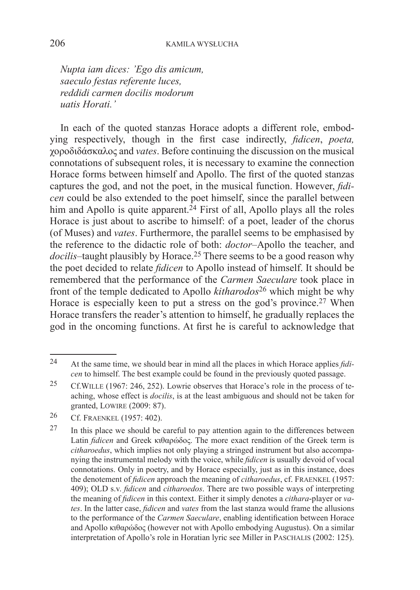*Nupta iam dices: 'Ego dis amicum, saeculo festas referente luces, reddidi carmen docilis modorum uatis Horati.'*

In each of the quoted stanzas Horace adopts a different role, embodying respectively, though in the first case indirectly, *fidicen*, *poeta,*  χοροδιδάσκαλος and *vates*. Before continuing the discussion on the musical connotations of subsequent roles, it is necessary to examine the connection Horace forms between himself and Apollo. The first of the quoted stanzas captures the god, and not the poet, in the musical function. However, *fidicen* could be also extended to the poet himself, since the parallel between him and Apollo is quite apparent.<sup>24</sup> First of all, Apollo plays all the roles Horace is just about to ascribe to himself: of a poet, leader of the chorus (of Muses) and *vates*. Furthermore, the parallel seems to be emphasised by the reference to the didactic role of both: *doctor*–Apollo the teacher, and *docilis*–taught plausibly by Horace.<sup>25</sup> There seems to be a good reason why the poet decided to relate *fidicen* to Apollo instead of himself. It should be remembered that the performance of the *Carmen Saeculare* took place in front of the temple dedicated to Apollo *kitharodos*<sup>26</sup> which might be why Horace is especially keen to put a stress on the god's province.<sup>27</sup> When Horace transfers the reader's attention to himself, he gradually replaces the god in the oncoming functions. At first he is careful to acknowledge that

<sup>24</sup> At the same time, we should bear in mind all the places in which Horace applies *fidicen* to himself. The best example could be found in the previously quoted passage.

<sup>25</sup> Cf.Wille (1967: 246, 252). Lowrie observes that Horace's role in the process of teaching, whose effect is *docilis*, is at the least ambiguous and should not be taken for granted, Lowire (2009: 87).

<sup>26</sup> Cf. Fraenkel (1957: 402).

 $27$  In this place we should be careful to pay attention again to the differences between Latin *fidicen* and Greek κιθαρώδoς. The more exact rendition of the Greek term is *citharoedus*, which implies not only playing a stringed instrument but also accompanying the instrumental melody with the voice, while *fidicen* is usually devoid of vocal connotations. Only in poetry, and by Horace especially, just as in this instance, does the denotement of *fidicen* approach the meaning of *citharoedus*, cf. Fraenkel (1957: 409); OLD s.v. *fidicen* and *citharoedos*. There are two possible ways of interpreting the meaning of *fidicen* in this context. Either it simply denotes a *cithara*-player or *vates*. In the latter case, *fidicen* and *vates* from the last stanza would frame the allusions to the performance of the *Carmen Saeculare*, enabling identification between Horace and Apollo κιθαρώδoς (however not with Apollo embodying Augustus). On a similar interpretation of Apollo's role in Horatian lyric see Miller in PASCHALIS (2002: 125).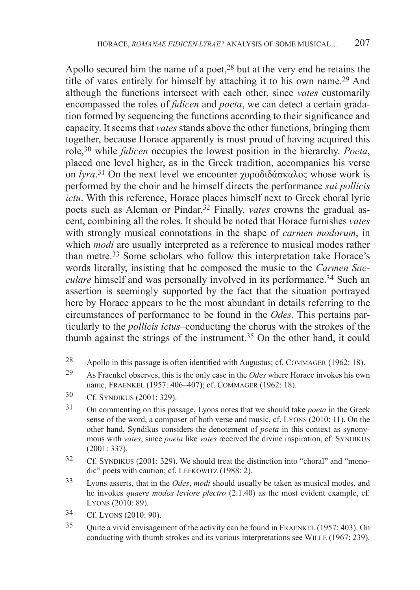Apollo secured him the name of a poet,<sup>28</sup> but at the very end he retains the title of vates entirely for himself by attaching it to his own name.29 And although the functions intersect with each other, since *vates* customarily encompassed the roles of *fidicen* and *poeta*, we can detect a certain gradation formed by sequencing the functions according to their significance and capacity. It seems that *vates* stands above the other functions, bringing them together, because Horace apparently is most proud of having acquired this role,30 while *fidicen* occupies the lowest position in the hierarchy. *Poeta*, placed one level higher, as in the Greek tradition, accompanies his verse on *lyra*. <sup>31</sup> On the next level we encounter χοροδιδάσκαλος whose work is performed by the choir and he himself directs the performance *sui pollicis ictu*. With this reference, Horace places himself next to Greek choral lyric poets such as Alcman or Pindar.32 Finally, *vates* crowns the gradual ascent, combining all the roles. It should be noted that Horace furnishes *vates*  with strongly musical connotations in the shape of *carmen modorum*, in which *modi* are usually interpreted as a reference to musical modes rather than metre.33 Some scholars who follow this interpretation take Horace's words literally, insisting that he composed the music to the *Carmen Saeculare* himself and was personally involved in its performance.<sup>34</sup> Such an assertion is seemingly supported by the fact that the situation portrayed here by Horace appears to be the most abundant in details referring to the circumstances of performance to be found in the *Odes*. This pertains particularly to the *pollicis ictus*–conducting the chorus with the strokes of the thumb against the strings of the instrument.35 On the other hand, it could

33 Lyons asserts, that in the *Odes*, *modi* should usually be taken as musical modes, and he invokes *quaere modos leviore plectro* (2.1.40) as the most evident example, cf. Lyons (2010: 89).

<sup>28</sup> Apollo in this passage is often identified with Augustus; cf. COMMAGER (1962: 18).

<sup>29</sup> As Fraenkel observes, this is the only case in the *Odes* where Horace invokes his own name, Fraenkel (1957: 406–407); cf. Commager (1962: 18).

<sup>30</sup> Cf. Syndikus (2001: 329).

<sup>31</sup> On commenting on this passage, Lyons notes that we should take *poeta* in the Greek sense of the word, a composer of both verse and music, cf. Lyons (2010: 11). On the other hand, Syndikus considers the denotement of *poeta* in this context as synonymous with *vates*, since *poeta* like *vates* received the divine inspiration, cf. SYNDIKUS (2001: 337).

<sup>&</sup>lt;sup>32</sup> Cf. SYNDIKUS (2001: 329). We should treat the distinction into "choral" and "monodic" poets with caution; cf. LEFKOWITZ (1988: 2).

<sup>34</sup> Cf. Lyons (2010: 90).

<sup>35</sup> Quite a vivid envisagement of the activity can be found in Fraenkel (1957: 403). On conducting with thumb strokes and its various interpretations see WILLE (1967: 239).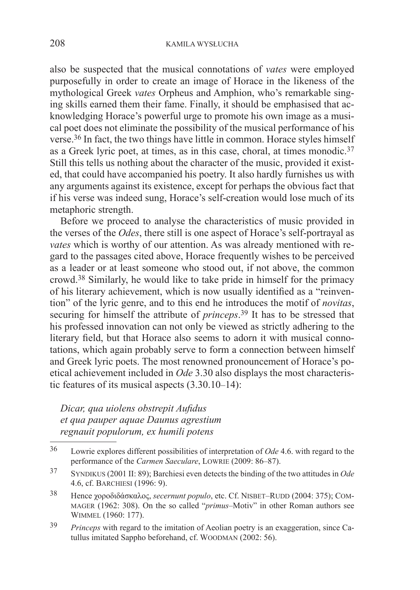also be suspected that the musical connotations of *vates* were employed purposefully in order to create an image of Horace in the likeness of the mythological Greek *vates* Orpheus and Amphion, who's remarkable singing skills earned them their fame. Finally, it should be emphasised that acknowledging Horace's powerful urge to promote his own image as a musical poet does not eliminate the possibility of the musical performance of his verse.36 In fact, the two things have little in common. Horace styles himself as a Greek lyric poet, at times, as in this case, choral, at times monodic.<sup>37</sup> Still this tells us nothing about the character of the music, provided it existed, that could have accompanied his poetry. It also hardly furnishes us with any arguments against its existence, except for perhaps the obvious fact that if his verse was indeed sung, Horace's self-creation would lose much of its metaphoric strength.

Before we proceed to analyse the characteristics of music provided in the verses of the *Odes*, there still is one aspect of Horace's self-portrayal as *vates* which is worthy of our attention. As was already mentioned with regard to the passages cited above, Horace frequently wishes to be perceived as a leader or at least someone who stood out, if not above, the common crowd.38 Similarly, he would like to take pride in himself for the primacy of his literary achievement, which is now usually identified as a "reinvention" of the lyric genre, and to this end he introduces the motif of *novitas*, securing for himself the attribute of *princeps*. <sup>39</sup> It has to be stressed that his professed innovation can not only be viewed as strictly adhering to the literary field, but that Horace also seems to adorn it with musical connotations, which again probably serve to form a connection between himself and Greek lyric poets. The most renowned pronouncement of Horace's poetical achievement included in *Ode* 3.30 also displays the most characteristic features of its musical aspects (3.30.10–14):

*Dicar, qua uiolens obstrepit Aufidus et qua pauper aquae Daunus agrestium regnauit populorum, ex humili potens* 

<sup>36</sup> Lowrie explores different possibilities of interpretation of *Ode* 4.6. with regard to the performance of the *Carmen Saeculare*, LOWRIE (2009: 86–87).

<sup>37</sup> Syndikus (2001 II: 89); Barchiesi even detects the binding of the two attitudes in *Ode*  4.6, cf. Barchiesi (1996: 9).

<sup>&</sup>lt;sup>38</sup> Hence χοροδιδάσκαλος, *secernunt populo*, etc. Cf. NISBET-RUDD (2004: 375); COMmager (1962: 308). On the so called "*primus*–Motiv" in other Roman authors see Wimmel (1960: 177).

<sup>39</sup> *Princeps* with regard to the imitation of Aeolian poetry is an exaggeration, since Catullus imitated Sappho beforehand, cf. Woodman (2002: 56).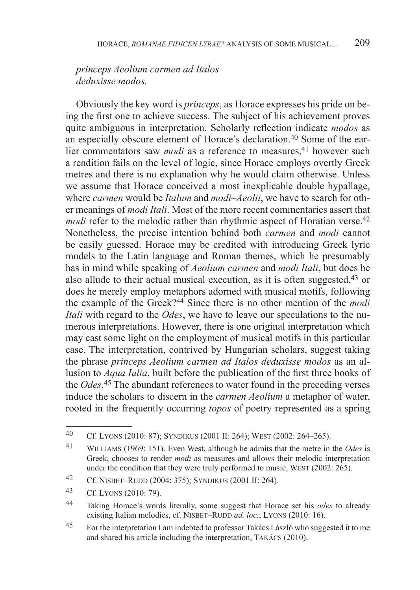## *princeps Aeolium carmen ad Italos deduxisse modos.*

Obviously the key word is *princeps*, as Horace expresses his pride on being the first one to achieve success. The subject of his achievement proves quite ambiguous in interpretation. Scholarly reflection indicate *modos* as an especially obscure element of Horace's declaration.40 Some of the earlier commentators saw *modi* as a reference to measures,<sup>41</sup> however such a rendition fails on the level of logic, since Horace employs overtly Greek metres and there is no explanation why he would claim otherwise. Unless we assume that Horace conceived a most inexplicable double hypallage, where *carmen* would be *Italum* and *modi–Aeolii*, we have to search for other meanings of *modi Itali*. Most of the more recent commentaries assert that *modi* refer to the melodic rather than rhythmic aspect of Horatian verse.<sup>42</sup> Nonetheless, the precise intention behind both *carmen* and *modi* cannot be easily guessed. Horace may be credited with introducing Greek lyric models to the Latin language and Roman themes, which he presumably has in mind while speaking of *Aeolium carmen* and *modi Itali*, but does he also allude to their actual musical execution, as it is often suggested,<sup>43</sup> or does he merely employ metaphors adorned with musical motifs, following the example of the Greek?44 Since there is no other mention of the *modi Itali* with regard to the *Odes*, we have to leave our speculations to the numerous interpretations. However, there is one original interpretation which may cast some light on the employment of musical motifs in this particular case. The interpretation, contrived by Hungarian scholars, suggest taking the phrase *princeps Aeolium carmen ad Italos deduxisse modos* as an allusion to *Aqua Iulia*, built before the publication of the first three books of the *Odes*. <sup>45</sup> The abundant references to water found in the preceding verses induce the scholars to discern in the *carmen Aeolium* a metaphor of water, rooted in the frequently occurring *topos* of poetry represented as a spring

<sup>40</sup> Cf. Lyons (2010: 87); Syndikus (2001 II: 264); West (2002: 264–265).

<sup>41</sup> Williams (1969: 151). Even West, although he admits that the metre in the *Odes* is Greek, chooses to render *modi* as measures and allows their melodic interpretation under the condition that they were truly performed to music, WEST (2002: 265).

<sup>42</sup> Cf. Nisbet–Rudd (2004: 375); Syndikus (2001 II: 264).

<sup>43</sup> Cf. Lyons (2010: 79).

<sup>44</sup> Taking Horace's words literally, some suggest that Horace set his *odes* to already existing Italian melodies, cf. NISBET–RUDD *ad. loc.*; LYONS (2010: 16).

<sup>45</sup> For the interpretation I am indebted to professor Takács László who suggested it to me and shared his article including the interpretation, Takács (2010).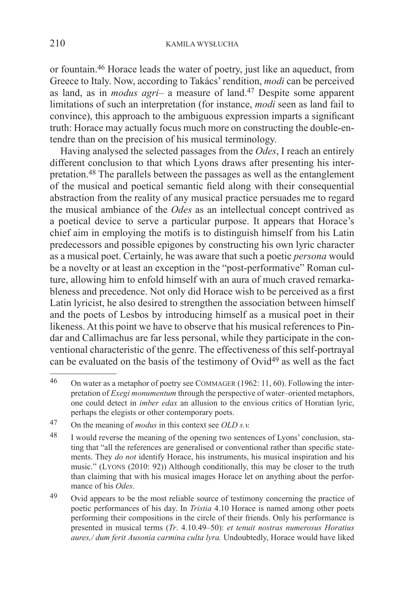or fountain.46 Horace leads the water of poetry, just like an aqueduct, from Greece to Italy. Now, according to Takács' rendition, *modi* can be perceived as land, as in *modus agri*– a measure of land.47 Despite some apparent limitations of such an interpretation (for instance, *modi* seen as land fail to convince), this approach to the ambiguous expression imparts a significant truth: Horace may actually focus much more on constructing the double-entendre than on the precision of his musical terminology.

Having analysed the selected passages from the *Odes*, I reach an entirely different conclusion to that which Lyons draws after presenting his interpretation.48 The parallels between the passages as well as the entanglement of the musical and poetical semantic field along with their consequential abstraction from the reality of any musical practice persuades me to regard the musical ambiance of the *Odes* as an intellectual concept contrived as a poetical device to serve a particular purpose. It appears that Horace's chief aim in employing the motifs is to distinguish himself from his Latin predecessors and possible epigones by constructing his own lyric character as a musical poet. Certainly, he was aware that such a poetic *persona* would be a novelty or at least an exception in the "post-performative" Roman culture, allowing him to enfold himself with an aura of much craved remarkableness and precedence. Not only did Horace wish to be perceived as a first Latin lyricist, he also desired to strengthen the association between himself and the poets of Lesbos by introducing himself as a musical poet in their likeness. At this point we have to observe that his musical references to Pindar and Callimachus are far less personal, while they participate in the conventional characteristic of the genre. The effectiveness of this self-portrayal can be evaluated on the basis of the testimony of Ovid<sup>49</sup> as well as the fact

<sup>46</sup> On water as a metaphor of poetry see Commager (1962: 11, 60). Following the interpretation of *Exegi monumentum* through the perspective of water–oriented metaphors, one could detect in *imber edax* an allusion to the envious critics of Horatian lyric, perhaps the elegists or other contemporary poets.

<sup>47</sup> On the meaning of *modus* in this context see *OLD s.v.*

<sup>48</sup> I would reverse the meaning of the opening two sentences of Lyons' conclusion, stating that "all the references are generalised or conventional rather than specific statements. They *do not* identify Horace, his instruments, his musical inspiration and his music." (Lyons (2010: 92)) Although conditionally, this may be closer to the truth than claiming that with his musical images Horace let on anything about the performance of his *Odes*.

<sup>&</sup>lt;sup>49</sup> Ovid appears to be the most reliable source of testimony concerning the practice of poetic performances of his day. In *Tristia* 4.10 Horace is named among other poets performing their compositions in the circle of their friends. Only his performance is presented in musical terms (*Tr*. 4.10.49–50): *et tenuit nostras numerosus Horatius aures,/ dum ferit Ausonia carmina culta lyra.* Undoubtedly, Horace would have liked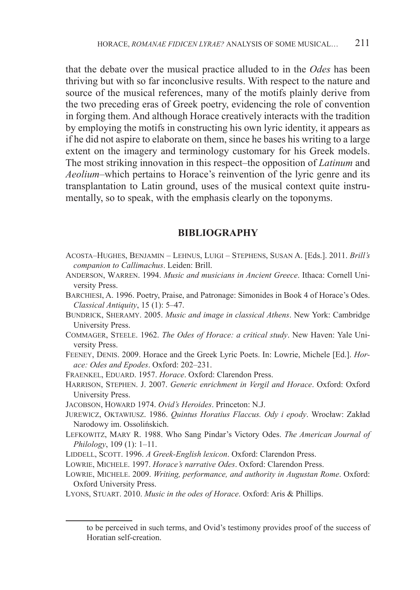that the debate over the musical practice alluded to in the *Odes* has been thriving but with so far inconclusive results. With respect to the nature and source of the musical references, many of the motifs plainly derive from the two preceding eras of Greek poetry, evidencing the role of convention in forging them. And although Horace creatively interacts with the tradition by employing the motifs in constructing his own lyric identity, it appears as if he did not aspire to elaborate on them, since he bases his writing to a large extent on the imagery and terminology customary for his Greek models. The most striking innovation in this respect–the opposition of *Latinum* and *Aeolium*–which pertains to Horace's reinvention of the lyric genre and its transplantation to Latin ground, uses of the musical context quite instrumentally, so to speak, with the emphasis clearly on the toponyms.

## **BIBLIOGRAPHY**

- Acosta–Hughes, Benjamin Lehnus, Luigi Stephens, Susan A. [Eds.]. 2011. *Brill's companion to Callimachus*. Leiden: Brill.
- Anderson, Warren. 1994. *Music and musicians in Ancient Greece*. Ithaca: Cornell University Press.
- Barchiesi, A. 1996. Poetry, Praise, and Patronage: Simonides in Book 4 of Horace's Odes. *Classical Antiquity*, 15 (1): 5–47.
- Bundrick, Sheramy. 2005. *Music and image in classical Athens*. New York: Cambridge University Press.
- Commager, Steele. 1962. *The Odes of Horace: a critical study*. New Haven: Yale University Press.
- Feeney, Denis. 2009. Horace and the Greek Lyric Poets. In: Lowrie, Michele [Ed.]. *Horace: Odes and Epodes*. Oxford: 202–231.
- Fraenkel, Eduard. 1957. *Horace*. Oxford: Clarendon Press.
- Harrison, Stephen. J. 2007. *Generic enrichment in Vergil and Horace*. Oxford: Oxford University Press.
- Jacobson, Howard 1974. *Ovid's Heroides*. Princeton: N.J.
- Jurewicz, Oktawiusz. 1986. *Quintus Horatius Flaccus. Ody i epody*. Wrocław: Zakład Narodowy im. Ossolińskich.
- Lefkowitz, Mary R. 1988. Who Sang Pindar's Victory Odes. *The American Journal of Philology*, 109 (1): 1–11.
- LIDDELL, SCOTT. 1996. *A Greek-English lexicon*. Oxford: Clarendon Press.
- Lowrie, Michele. 1997. *Horace's narrative Odes*. Oxford: Clarendon Press.
- Lowrie, Michele. 2009. *Writing, performance, and authority in Augustan Rome*. Oxford: Oxford University Press.

Lyons, Stuart. 2010. *Music in the odes of Horace*. Oxford: Aris & Phillips.

to be perceived in such terms, and Ovid's testimony provides proof of the success of Horatian self-creation.